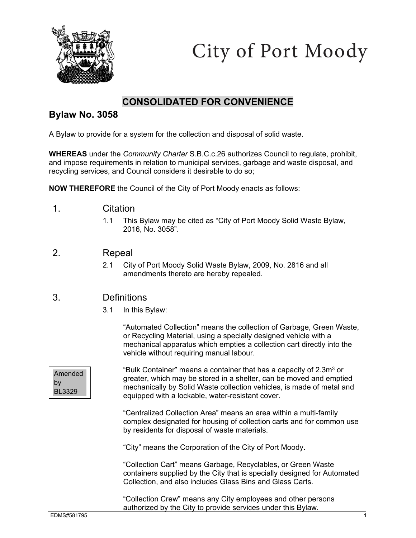

City of Port Moody

# **CONSOLIDATED FOR CONVENIENCE**

## **Bylaw No. 3058**

A Bylaw to provide for a system for the collection and disposal of solid waste.

**WHEREAS** under the *Community Charter* S.B.C.c.26 authorizes Council to regulate, prohibit, and impose requirements in relation to municipal services, garbage and waste disposal, and recycling services, and Council considers it desirable to do so;

**NOW THEREFORE** the Council of the City of Port Moody enacts as follows:

- 1. Citation
	- 1.1 This Bylaw may be cited as "City of Port Moody Solid Waste Bylaw, 2016, No. 3058".

## 2. Repeal

 2.1 City of Port Moody Solid Waste Bylaw, 2009, No. 2816 and all amendments thereto are hereby repealed.

## 3. Definitions

3.1 In this Bylaw:

"Automated Collection" means the collection of Garbage, Green Waste, or Recycling Material, using a specially designed vehicle with a mechanical apparatus which empties a collection cart directly into the vehicle without requiring manual labour.

**Amended** by BL3329

"Bulk Container" means a container that has a capacity of  $2.3m<sup>3</sup>$  or greater, which may be stored in a shelter, can be moved and emptied mechanically by Solid Waste collection vehicles, is made of metal and equipped with a lockable, water-resistant cover.

"Centralized Collection Area" means an area within a multi-family complex designated for housing of collection carts and for common use by residents for disposal of waste materials.

"City" means the Corporation of the City of Port Moody.

"Collection Cart" means Garbage, Recyclables, or Green Waste containers supplied by the City that is specially designed for Automated Collection, and also includes Glass Bins and Glass Carts.

"Collection Crew" means any City employees and other persons authorized by the City to provide services under this Bylaw.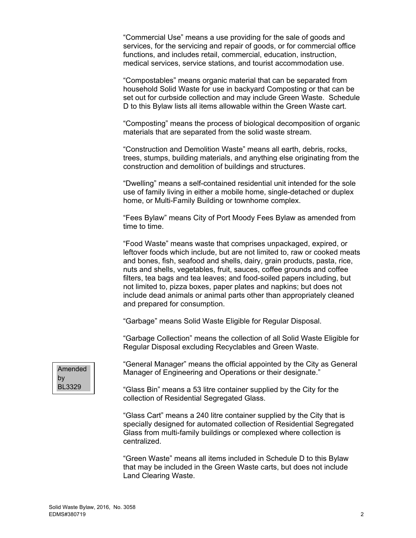"Commercial Use" means a use providing for the sale of goods and services, for the servicing and repair of goods, or for commercial office functions, and includes retail, commercial, education, instruction, medical services, service stations, and tourist accommodation use.

"Compostables" means organic material that can be separated from household Solid Waste for use in backyard Composting or that can be set out for curbside collection and may include Green Waste. Schedule D to this Bylaw lists all items allowable within the Green Waste cart.

"Composting" means the process of biological decomposition of organic materials that are separated from the solid waste stream.

"Construction and Demolition Waste" means all earth, debris, rocks, trees, stumps, building materials, and anything else originating from the construction and demolition of buildings and structures.

"Dwelling" means a self-contained residential unit intended for the sole use of family living in either a mobile home, single-detached or duplex home, or Multi-Family Building or townhome complex.

"Fees Bylaw" means City of Port Moody Fees Bylaw as amended from time to time.

"Food Waste" means waste that comprises unpackaged, expired, or leftover foods which include, but are not limited to, raw or cooked meats and bones, fish, seafood and shells, dairy, grain products, pasta, rice, nuts and shells, vegetables, fruit, sauces, coffee grounds and coffee filters, tea bags and tea leaves; and food-soiled papers including, but not limited to, pizza boxes, paper plates and napkins; but does not include dead animals or animal parts other than appropriately cleaned and prepared for consumption.

"Garbage" means Solid Waste Eligible for Regular Disposal.

"Garbage Collection" means the collection of all Solid Waste Eligible for Regular Disposal excluding Recyclables and Green Waste.



"General Manager" means the official appointed by the City as General Manager of Engineering and Operations or their designate."

"Glass Bin" means a 53 litre container supplied by the City for the collection of Residential Segregated Glass.

"Glass Cart" means a 240 litre container supplied by the City that is specially designed for automated collection of Residential Segregated Glass from multi-family buildings or complexed where collection is centralized.

"Green Waste" means all items included in Schedule D to this Bylaw that may be included in the Green Waste carts, but does not include Land Clearing Waste.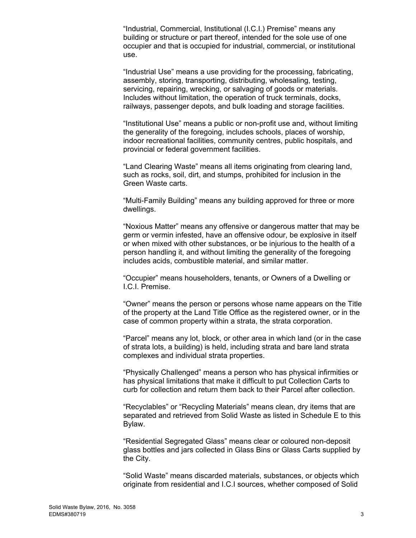"Industrial, Commercial, Institutional (I.C.I.) Premise" means any building or structure or part thereof, intended for the sole use of one occupier and that is occupied for industrial, commercial, or institutional use.

"Industrial Use" means a use providing for the processing, fabricating, assembly, storing, transporting, distributing, wholesaling, testing, servicing, repairing, wrecking, or salvaging of goods or materials. Includes without limitation, the operation of truck terminals, docks, railways, passenger depots, and bulk loading and storage facilities.

"Institutional Use" means a public or non-profit use and, without limiting the generality of the foregoing, includes schools, places of worship, indoor recreational facilities, community centres, public hospitals, and provincial or federal government facilities.

"Land Clearing Waste" means all items originating from clearing land, such as rocks, soil, dirt, and stumps, prohibited for inclusion in the Green Waste carts.

"Multi-Family Building" means any building approved for three or more dwellings.

"Noxious Matter" means any offensive or dangerous matter that may be germ or vermin infested, have an offensive odour, be explosive in itself or when mixed with other substances, or be injurious to the health of a person handling it, and without limiting the generality of the foregoing includes acids, combustible material, and similar matter.

"Occupier" means householders, tenants, or Owners of a Dwelling or I.C.I. Premise.

"Owner" means the person or persons whose name appears on the Title of the property at the Land Title Office as the registered owner, or in the case of common property within a strata, the strata corporation.

"Parcel" means any lot, block, or other area in which land (or in the case of strata lots, a building) is held, including strata and bare land strata complexes and individual strata properties.

"Physically Challenged" means a person who has physical infirmities or has physical limitations that make it difficult to put Collection Carts to curb for collection and return them back to their Parcel after collection.

"Recyclables" or "Recycling Materials" means clean, dry items that are separated and retrieved from Solid Waste as listed in Schedule E to this Bylaw.

"Residential Segregated Glass" means clear or coloured non-deposit glass bottles and jars collected in Glass Bins or Glass Carts supplied by the City.

"Solid Waste" means discarded materials, substances, or objects which originate from residential and I.C.I sources, whether composed of Solid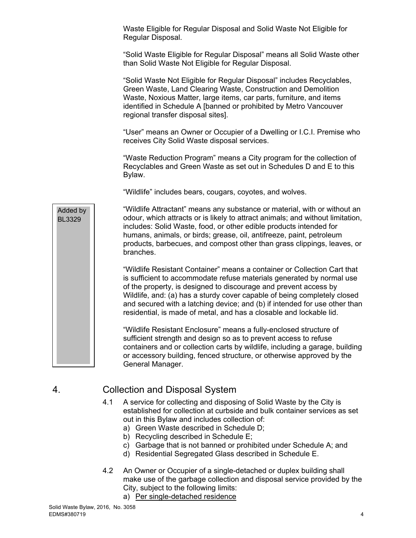Waste Eligible for Regular Disposal and Solid Waste Not Eligible for Regular Disposal.

"Solid Waste Eligible for Regular Disposal" means all Solid Waste other than Solid Waste Not Eligible for Regular Disposal.

"Solid Waste Not Eligible for Regular Disposal" includes Recyclables, Green Waste, Land Clearing Waste, Construction and Demolition Waste, Noxious Matter, large items, car parts, furniture, and items identified in Schedule A [banned or prohibited by Metro Vancouver regional transfer disposal sites].

"User" means an Owner or Occupier of a Dwelling or I.C.I. Premise who receives City Solid Waste disposal services.

"Waste Reduction Program" means a City program for the collection of Recyclables and Green Waste as set out in Schedules D and E to this Bylaw.

"Wildlife" includes bears, cougars, coyotes, and wolves.

"Wildlife Attractant" means any substance or material, with or without an odour, which attracts or is likely to attract animals; and without limitation, includes: Solid Waste, food, or other edible products intended for humans, animals, or birds; grease, oil, antifreeze, paint, petroleum products, barbecues, and compost other than grass clippings, leaves, or branches.

"Wildlife Resistant Container" means a container or Collection Cart that is sufficient to accommodate refuse materials generated by normal use of the property, is designed to discourage and prevent access by Wildlife, and: (a) has a sturdy cover capable of being completely closed and secured with a latching device; and (b) if intended for use other than residential, is made of metal, and has a closable and lockable lid.

"Wildlife Resistant Enclosure" means a fully-enclosed structure of sufficient strength and design so as to prevent access to refuse containers and or collection carts by wildlife, including a garage, building or accessory building, fenced structure, or otherwise approved by the General Manager.

# 4. Collection and Disposal System

- 4.1 A service for collecting and disposing of Solid Waste by the City is established for collection at curbside and bulk container services as set out in this Bylaw and includes collection of:
	- a) Green Waste described in Schedule D;
	- b) Recycling described in Schedule E;
	- c) Garbage that is not banned or prohibited under Schedule A; and
	- d) Residential Segregated Glass described in Schedule E.
- 4.2 An Owner or Occupier of a single-detached or duplex building shall make use of the garbage collection and disposal service provided by the City, subject to the following limits:
	- a) Per single-detached residence

Added by BL3329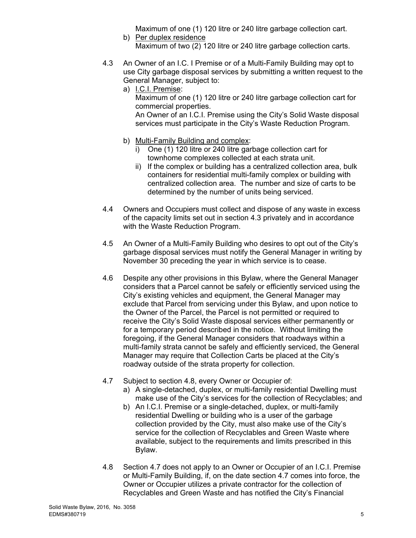Maximum of one (1) 120 litre or 240 litre garbage collection cart.

- b) Per duplex residence Maximum of two (2) 120 litre or 240 litre garbage collection carts.
- 4.3 An Owner of an I.C. I Premise or of a Multi-Family Building may opt to use City garbage disposal services by submitting a written request to the General Manager, subject to:
	- a) I.C.I. Premise: Maximum of one (1) 120 litre or 240 litre garbage collection cart for commercial properties. An Owner of an I.C.I. Premise using the City's Solid Waste disposal services must participate in the City's Waste Reduction Program.
	- b) Multi-Family Building and complex:
		- i) One (1) 120 litre or 240 litre garbage collection cart for townhome complexes collected at each strata unit.
		- ii) If the complex or building has a centralized collection area, bulk containers for residential multi-family complex or building with centralized collection area. The number and size of carts to be determined by the number of units being serviced.
- 4.4 Owners and Occupiers must collect and dispose of any waste in excess of the capacity limits set out in section 4.3 privately and in accordance with the Waste Reduction Program.
- 4.5 An Owner of a Multi-Family Building who desires to opt out of the City's garbage disposal services must notify the General Manager in writing by November 30 preceding the year in which service is to cease.
- 4.6 Despite any other provisions in this Bylaw, where the General Manager considers that a Parcel cannot be safely or efficiently serviced using the City's existing vehicles and equipment, the General Manager may exclude that Parcel from servicing under this Bylaw, and upon notice to the Owner of the Parcel, the Parcel is not permitted or required to receive the City's Solid Waste disposal services either permanently or for a temporary period described in the notice. Without limiting the foregoing, if the General Manager considers that roadways within a multi-family strata cannot be safely and efficiently serviced, the General Manager may require that Collection Carts be placed at the City's roadway outside of the strata property for collection.
- 4.7 Subject to section 4.8, every Owner or Occupier of:
	- a) A single-detached, duplex, or multi-family residential Dwelling must make use of the City's services for the collection of Recyclables; and
	- b) An I.C.I. Premise or a single-detached, duplex, or multi-family residential Dwelling or building who is a user of the garbage collection provided by the City, must also make use of the City's service for the collection of Recyclables and Green Waste where available, subject to the requirements and limits prescribed in this Bylaw.
- 4.8 Section 4.7 does not apply to an Owner or Occupier of an I.C.I. Premise or Multi-Family Building, if, on the date section 4.7 comes into force, the Owner or Occupier utilizes a private contractor for the collection of Recyclables and Green Waste and has notified the City's Financial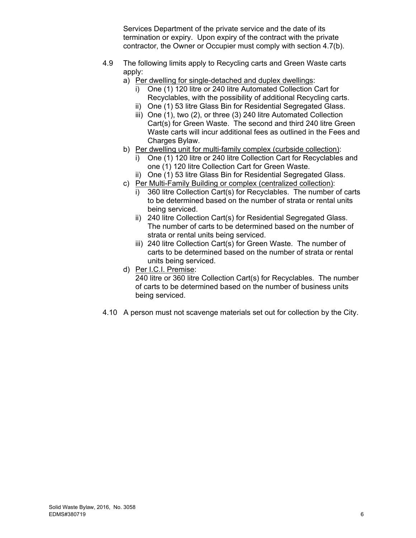Services Department of the private service and the date of its termination or expiry. Upon expiry of the contract with the private contractor, the Owner or Occupier must comply with section 4.7(b).

- 4.9 The following limits apply to Recycling carts and Green Waste carts apply:
	- a) Per dwelling for single-detached and duplex dwellings:
		- i) One (1) 120 litre or 240 litre Automated Collection Cart for Recyclables, with the possibility of additional Recycling carts.
		- ii) One (1) 53 litre Glass Bin for Residential Segregated Glass.
		- iii) One (1), two (2), or three (3) 240 litre Automated Collection Cart(s) for Green Waste. The second and third 240 litre Green Waste carts will incur additional fees as outlined in the Fees and Charges Bylaw.
	- b) Per dwelling unit for multi-family complex (curbside collection):
		- i) One (1) 120 litre or 240 litre Collection Cart for Recyclables and one (1) 120 litre Collection Cart for Green Waste.
		- ii) One (1) 53 litre Glass Bin for Residential Segregated Glass.
	- c) Per Multi-Family Building or complex (centralized collection):
		- i) 360 litre Collection Cart(s) for Recyclables. The number of carts to be determined based on the number of strata or rental units being serviced.
		- ii) 240 litre Collection Cart(s) for Residential Segregated Glass. The number of carts to be determined based on the number of strata or rental units being serviced.
		- iii) 240 litre Collection Cart(s) for Green Waste. The number of carts to be determined based on the number of strata or rental units being serviced.
	- d) Per I.C.I. Premise: 240 litre or 360 litre Collection Cart(s) for Recyclables. The number of carts to be determined based on the number of business units being serviced.
- 4.10 A person must not scavenge materials set out for collection by the City.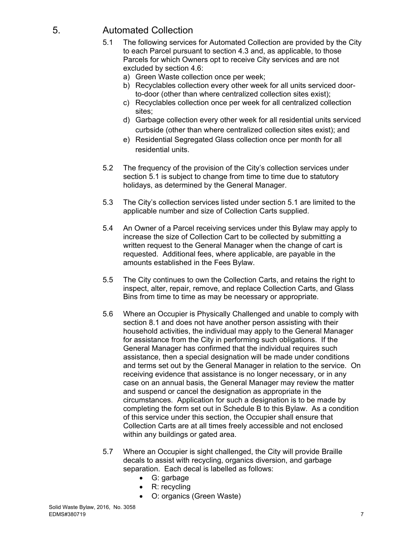# 5. Automated Collection

- 5.1 The following services for Automated Collection are provided by the City to each Parcel pursuant to section 4.3 and, as applicable, to those Parcels for which Owners opt to receive City services and are not excluded by section 4.6:
	- a) Green Waste collection once per week;
	- b) Recyclables collection every other week for all units serviced doorto-door (other than where centralized collection sites exist);
	- c) Recyclables collection once per week for all centralized collection sites;
	- d) Garbage collection every other week for all residential units serviced curbside (other than where centralized collection sites exist); and
	- e) Residential Segregated Glass collection once per month for all residential units.
- 5.2 The frequency of the provision of the City's collection services under section 5.1 is subject to change from time to time due to statutory holidays, as determined by the General Manager.
- 5.3 The City's collection services listed under section 5.1 are limited to the applicable number and size of Collection Carts supplied.
- 5.4 An Owner of a Parcel receiving services under this Bylaw may apply to increase the size of Collection Cart to be collected by submitting a written request to the General Manager when the change of cart is requested. Additional fees, where applicable, are payable in the amounts established in the Fees Bylaw.
- 5.5 The City continues to own the Collection Carts, and retains the right to inspect, alter, repair, remove, and replace Collection Carts, and Glass Bins from time to time as may be necessary or appropriate.
- 5.6 Where an Occupier is Physically Challenged and unable to comply with section 8.1 and does not have another person assisting with their household activities, the individual may apply to the General Manager for assistance from the City in performing such obligations. If the General Manager has confirmed that the individual requires such assistance, then a special designation will be made under conditions and terms set out by the General Manager in relation to the service. On receiving evidence that assistance is no longer necessary, or in any case on an annual basis, the General Manager may review the matter and suspend or cancel the designation as appropriate in the circumstances. Application for such a designation is to be made by completing the form set out in Schedule B to this Bylaw. As a condition of this service under this section, the Occupier shall ensure that Collection Carts are at all times freely accessible and not enclosed within any buildings or gated area.
- 5.7 Where an Occupier is sight challenged, the City will provide Braille decals to assist with recycling, organics diversion, and garbage separation. Each decal is labelled as follows:
	- G: garbage
	- R: recycling
	- O: organics (Green Waste)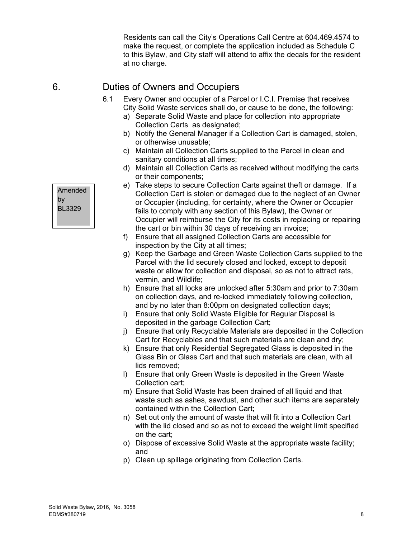Residents can call the City's Operations Call Centre at 604.469.4574 to make the request, or complete the application included as Schedule C to this Bylaw, and City staff will attend to affix the decals for the resident at no charge.

# 6. Duties of Owners and Occupiers

- 6.1 Every Owner and occupier of a Parcel or I.C.I. Premise that receives City Solid Waste services shall do, or cause to be done, the following:
	- a) Separate Solid Waste and place for collection into appropriate Collection Carts as designated;
	- b) Notify the General Manager if a Collection Cart is damaged, stolen, or otherwise unusable;
	- c) Maintain all Collection Carts supplied to the Parcel in clean and sanitary conditions at all times;
	- d) Maintain all Collection Carts as received without modifying the carts or their components;
	- e) Take steps to secure Collection Carts against theft or damage. If a Collection Cart is stolen or damaged due to the neglect of an Owner or Occupier (including, for certainty, where the Owner or Occupier fails to comply with any section of this Bylaw), the Owner or Occupier will reimburse the City for its costs in replacing or repairing the cart or bin within 30 days of receiving an invoice;
	- f) Ensure that all assigned Collection Carts are accessible for inspection by the City at all times;
	- g) Keep the Garbage and Green Waste Collection Carts supplied to the Parcel with the lid securely closed and locked, except to deposit waste or allow for collection and disposal, so as not to attract rats, vermin, and Wildlife;
	- h) Ensure that all locks are unlocked after 5:30am and prior to 7:30am on collection days, and re-locked immediately following collection, and by no later than 8:00pm on designated collection days;
	- i) Ensure that only Solid Waste Eligible for Regular Disposal is deposited in the garbage Collection Cart;
	- j) Ensure that only Recyclable Materials are deposited in the Collection Cart for Recyclables and that such materials are clean and dry;
	- k) Ensure that only Residential Segregated Glass is deposited in the Glass Bin or Glass Cart and that such materials are clean, with all lids removed;
	- l) Ensure that only Green Waste is deposited in the Green Waste Collection cart;
	- m) Ensure that Solid Waste has been drained of all liquid and that waste such as ashes, sawdust, and other such items are separately contained within the Collection Cart;
	- n) Set out only the amount of waste that will fit into a Collection Cart with the lid closed and so as not to exceed the weight limit specified on the cart;
	- o) Dispose of excessive Solid Waste at the appropriate waste facility; and
	- p) Clean up spillage originating from Collection Carts.

Amended by BL3329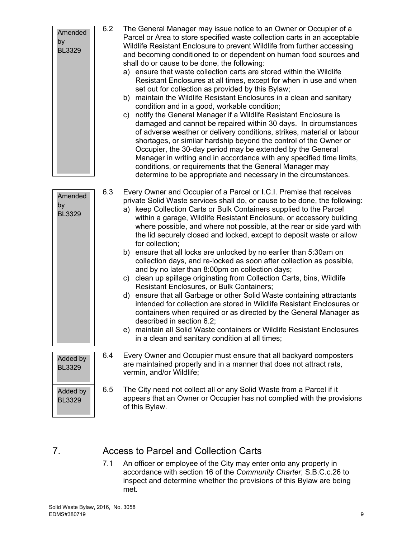| Amended<br>by<br><b>BL3329</b> | 6.2 | The General Manager may issue notice to an Owner or Occupier of a<br>Parcel or Area to store specified waste collection carts in an acceptable<br>Wildlife Resistant Enclosure to prevent Wildlife from further accessing<br>and becoming conditioned to or dependent on human food sources and<br>shall do or cause to be done, the following:<br>a) ensure that waste collection carts are stored within the Wildlife<br>Resistant Enclosures at all times, except for when in use and when<br>set out for collection as provided by this Bylaw;<br>b) maintain the Wildlife Resistant Enclosures in a clean and sanitary<br>condition and in a good, workable condition;<br>notify the General Manager if a Wildlife Resistant Enclosure is<br>c)<br>damaged and cannot be repaired within 30 days. In circumstances<br>of adverse weather or delivery conditions, strikes, material or labour<br>shortages, or similar hardship beyond the control of the Owner or<br>Occupier, the 30-day period may be extended by the General<br>Manager in writing and in accordance with any specified time limits,<br>conditions, or requirements that the General Manager may<br>determine to be appropriate and necessary in the circumstances. |
|--------------------------------|-----|---------------------------------------------------------------------------------------------------------------------------------------------------------------------------------------------------------------------------------------------------------------------------------------------------------------------------------------------------------------------------------------------------------------------------------------------------------------------------------------------------------------------------------------------------------------------------------------------------------------------------------------------------------------------------------------------------------------------------------------------------------------------------------------------------------------------------------------------------------------------------------------------------------------------------------------------------------------------------------------------------------------------------------------------------------------------------------------------------------------------------------------------------------------------------------------------------------------------------------------------|
| Amended<br>by<br><b>BL3329</b> | 6.3 | Every Owner and Occupier of a Parcel or I.C.I. Premise that receives<br>private Solid Waste services shall do, or cause to be done, the following:<br>a) keep Collection Carts or Bulk Containers supplied to the Parcel<br>within a garage, Wildlife Resistant Enclosure, or accessory building<br>where possible, and where not possible, at the rear or side yard with<br>the lid securely closed and locked, except to deposit waste or allow<br>for collection;<br>b) ensure that all locks are unlocked by no earlier than 5:30am on<br>collection days, and re-locked as soon after collection as possible,<br>and by no later than 8:00pm on collection days;<br>c) clean up spillage originating from Collection Carts, bins, Wildlife<br>Resistant Enclosures, or Bulk Containers;<br>d) ensure that all Garbage or other Solid Waste containing attractants<br>intended for collection are stored in Wildlife Resistant Enclosures or<br>containers when required or as directed by the General Manager as<br>described in section 6.2;<br>e) maintain all Solid Waste containers or Wildlife Resistant Enclosures<br>in a clean and sanitary condition at all times;                                                            |
| Added by<br><b>BL3329</b>      | 6.4 | Every Owner and Occupier must ensure that all backyard composters<br>are maintained properly and in a manner that does not attract rats,<br>vermin, and/or Wildlife;                                                                                                                                                                                                                                                                                                                                                                                                                                                                                                                                                                                                                                                                                                                                                                                                                                                                                                                                                                                                                                                                        |
| Added by<br><b>BL3329</b>      | 6.5 | The City need not collect all or any Solid Waste from a Parcel if it<br>appears that an Owner or Occupier has not complied with the provisions<br>of this Bylaw.                                                                                                                                                                                                                                                                                                                                                                                                                                                                                                                                                                                                                                                                                                                                                                                                                                                                                                                                                                                                                                                                            |

# 7. Access to Parcel and Collection Carts

7.1 An officer or employee of the City may enter onto any property in accordance with section 16 of the *Community Charter*, S.B.C.c.26 to inspect and determine whether the provisions of this Bylaw are being met.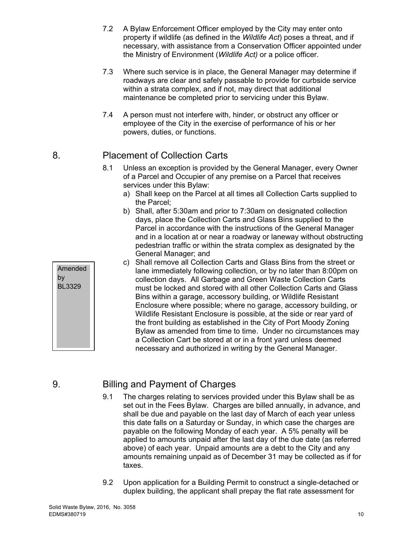- 7.2 A Bylaw Enforcement Officer employed by the City may enter onto property if wildlife (as defined in the *Wildlife Act*) poses a threat, and if necessary, with assistance from a Conservation Officer appointed under the Ministry of Environment (*Wildlife Act)* or a police officer.
- 7.3 Where such service is in place, the General Manager may determine if roadways are clear and safely passable to provide for curbside service within a strata complex, and if not, may direct that additional maintenance be completed prior to servicing under this Bylaw.
- 7.4 A person must not interfere with, hinder, or obstruct any officer or employee of the City in the exercise of performance of his or her powers, duties, or functions.

# 8. Placement of Collection Carts

- 8.1 Unless an exception is provided by the General Manager, every Owner of a Parcel and Occupier of any premise on a Parcel that receives services under this Bylaw:
	- a) Shall keep on the Parcel at all times all Collection Carts supplied to the Parcel;
	- b) Shall, after 5:30am and prior to 7:30am on designated collection days, place the Collection Carts and Glass Bins supplied to the Parcel in accordance with the instructions of the General Manager and in a location at or near a roadway or laneway without obstructing pedestrian traffic or within the strata complex as designated by the General Manager; and
	- c) Shall remove all Collection Carts and Glass Bins from the street or lane immediately following collection, or by no later than 8:00pm on collection days. All Garbage and Green Waste Collection Carts must be locked and stored with all other Collection Carts and Glass Bins within a garage, accessory building, or Wildlife Resistant Enclosure where possible; where no garage, accessory building, or Wildlife Resistant Enclosure is possible, at the side or rear yard of the front building as established in the City of Port Moody Zoning Bylaw as amended from time to time. Under no circumstances may a Collection Cart be stored at or in a front yard unless deemed necessary and authorized in writing by the General Manager.

# 9. Billing and Payment of Charges

- 9.1 The charges relating to services provided under this Bylaw shall be as set out in the Fees Bylaw. Charges are billed annually, in advance, and shall be due and payable on the last day of March of each year unless this date falls on a Saturday or Sunday, in which case the charges are payable on the following Monday of each year. A 5% penalty will be applied to amounts unpaid after the last day of the due date (as referred above) of each year. Unpaid amounts are a debt to the City and any amounts remaining unpaid as of December 31 may be collected as if for taxes.
- 9.2 Upon application for a Building Permit to construct a single-detached or duplex building, the applicant shall prepay the flat rate assessment for

Amended

by BL3329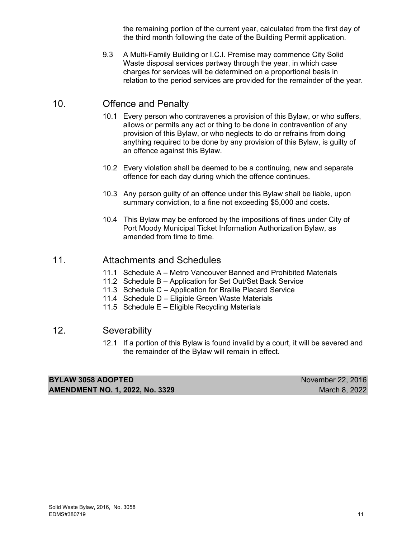the remaining portion of the current year, calculated from the first day of the third month following the date of the Building Permit application.

9.3 A Multi-Family Building or I.C.I. Premise may commence City Solid Waste disposal services partway through the year, in which case charges for services will be determined on a proportional basis in relation to the period services are provided for the remainder of the year.

# 10. Offence and Penalty

- 10.1 Every person who contravenes a provision of this Bylaw, or who suffers, allows or permits any act or thing to be done in contravention of any provision of this Bylaw, or who neglects to do or refrains from doing anything required to be done by any provision of this Bylaw, is guilty of an offence against this Bylaw.
- 10.2 Every violation shall be deemed to be a continuing, new and separate offence for each day during which the offence continues.
- 10.3 Any person guilty of an offence under this Bylaw shall be liable, upon summary conviction, to a fine not exceeding \$5,000 and costs.
- 10.4 This Bylaw may be enforced by the impositions of fines under City of Port Moody Municipal Ticket Information Authorization Bylaw, as amended from time to time.

## 11. Attachments and Schedules

- 11.1 Schedule A Metro Vancouver Banned and Prohibited Materials
- 11.2 Schedule B Application for Set Out/Set Back Service
- 11.3 Schedule C Application for Braille Placard Service
- 11.4 Schedule D Eligible Green Waste Materials
- 11.5 Schedule E Eligible Recycling Materials

## 12. Severability

 12.1 If a portion of this Bylaw is found invalid by a court, it will be severed and the remainder of the Bylaw will remain in effect.

| <b>BYLAW 3058 ADOPTED</b>              | November 22, 2016 |
|----------------------------------------|-------------------|
| <b>AMENDMENT NO. 1, 2022, No. 3329</b> | March 8, 2022     |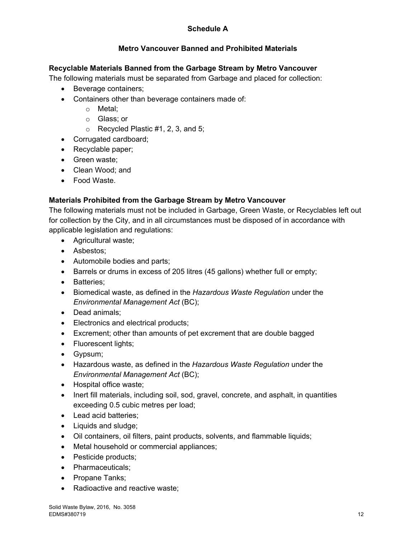## **Schedule A**

## **Metro Vancouver Banned and Prohibited Materials**

#### **Recyclable Materials Banned from the Garbage Stream by Metro Vancouver**

The following materials must be separated from Garbage and placed for collection:

- Beverage containers;
- Containers other than beverage containers made of:
	- o Metal;
		- o Glass; or
		- $\circ$  Recycled Plastic #1, 2, 3, and 5;
- Corrugated cardboard;
- Recyclable paper;
- Green waste;
- Clean Wood; and
- Food Waste.

## **Materials Prohibited from the Garbage Stream by Metro Vancouver**

The following materials must not be included in Garbage, Green Waste, or Recyclables left out for collection by the City, and in all circumstances must be disposed of in accordance with applicable legislation and regulations:

- Agricultural waste;
- Asbestos:
- Automobile bodies and parts;
- Barrels or drums in excess of 205 litres (45 gallons) whether full or empty;
- Batteries:
- Biomedical waste, as defined in the *Hazardous Waste Regulation* under the *Environmental Management Act* (BC);
- Dead animals;
- **Electronics and electrical products;**
- Excrement; other than amounts of pet excrement that are double bagged
- Fluorescent lights;
- Gypsum;
- Hazardous waste, as defined in the *Hazardous Waste Regulation* under the *Environmental Management Act* (BC);
- Hospital office waste;
- Inert fill materials, including soil, sod, gravel, concrete, and asphalt, in quantities exceeding 0.5 cubic metres per load;
- Lead acid batteries;
- Liquids and sludge;
- Oil containers, oil filters, paint products, solvents, and flammable liquids;
- Metal household or commercial appliances;
- Pesticide products:
- Pharmaceuticals;
- Propane Tanks;
- Radioactive and reactive waste;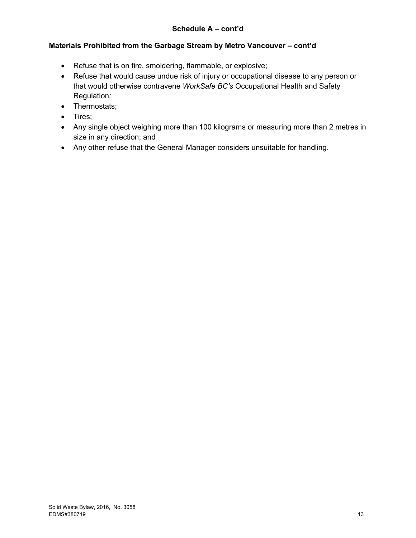## **Schedule A – cont'd**

#### **Materials Prohibited from the Garbage Stream by Metro Vancouver – cont'd**

- Refuse that is on fire, smoldering, flammable, or explosive;
- Refuse that would cause undue risk of injury or occupational disease to any person or that would otherwise contravene *WorkSafe BC's* Occupational Health and Safety Regulation*;*
- Thermostats;
- Tires:
- Any single object weighing more than 100 kilograms or measuring more than 2 metres in size in any direction; and
- Any other refuse that the General Manager considers unsuitable for handling.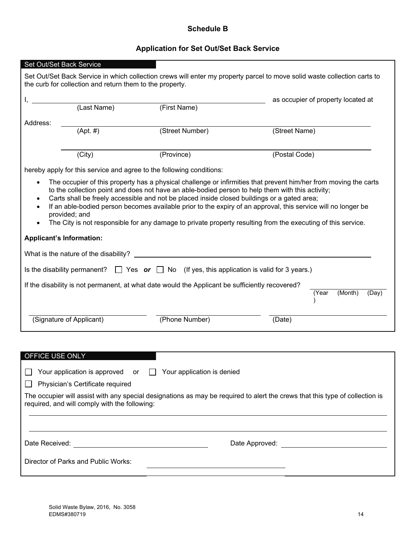## **Schedule B**

## **Application for Set Out/Set Back Service**

|                                                                                                                                                                                                                                                                   | Set Out/Set Back Service                                 |                                                                                                 |                                                                                                                                                                                                                                                                                                                                                                                                                                                       |  |  |
|-------------------------------------------------------------------------------------------------------------------------------------------------------------------------------------------------------------------------------------------------------------------|----------------------------------------------------------|-------------------------------------------------------------------------------------------------|-------------------------------------------------------------------------------------------------------------------------------------------------------------------------------------------------------------------------------------------------------------------------------------------------------------------------------------------------------------------------------------------------------------------------------------------------------|--|--|
|                                                                                                                                                                                                                                                                   | the curb for collection and return them to the property. |                                                                                                 | Set Out/Set Back Service in which collection crews will enter my property parcel to move solid waste collection carts to                                                                                                                                                                                                                                                                                                                              |  |  |
|                                                                                                                                                                                                                                                                   |                                                          |                                                                                                 | as occupier of property located at                                                                                                                                                                                                                                                                                                                                                                                                                    |  |  |
|                                                                                                                                                                                                                                                                   | (Last Name)                                              | (First Name)                                                                                    |                                                                                                                                                                                                                                                                                                                                                                                                                                                       |  |  |
| Address:                                                                                                                                                                                                                                                          |                                                          |                                                                                                 |                                                                                                                                                                                                                                                                                                                                                                                                                                                       |  |  |
|                                                                                                                                                                                                                                                                   | $(Apt. \#)$                                              | (Street Number)                                                                                 | (Street Name)                                                                                                                                                                                                                                                                                                                                                                                                                                         |  |  |
|                                                                                                                                                                                                                                                                   |                                                          |                                                                                                 |                                                                                                                                                                                                                                                                                                                                                                                                                                                       |  |  |
|                                                                                                                                                                                                                                                                   | (City)                                                   | (Province)                                                                                      | (Postal Code)                                                                                                                                                                                                                                                                                                                                                                                                                                         |  |  |
|                                                                                                                                                                                                                                                                   |                                                          | hereby apply for this service and agree to the following conditions:                            |                                                                                                                                                                                                                                                                                                                                                                                                                                                       |  |  |
| $\bullet$<br>٠<br>$\bullet$                                                                                                                                                                                                                                       | provided; and                                            | Carts shall be freely accessible and not be placed inside closed buildings or a gated area;     | The occupier of this property has a physical challenge or infirmities that prevent him/her from moving the carts<br>to the collection point and does not have an able-bodied person to help them with this activity;<br>If an able-bodied person becomes available prior to the expiry of an approval, this service will no longer be<br>The City is not responsible for any damage to private property resulting from the executing of this service. |  |  |
|                                                                                                                                                                                                                                                                   | <b>Applicant's Information:</b>                          |                                                                                                 |                                                                                                                                                                                                                                                                                                                                                                                                                                                       |  |  |
|                                                                                                                                                                                                                                                                   |                                                          | What is the nature of the disability? $\qquad \qquad$                                           |                                                                                                                                                                                                                                                                                                                                                                                                                                                       |  |  |
|                                                                                                                                                                                                                                                                   |                                                          |                                                                                                 |                                                                                                                                                                                                                                                                                                                                                                                                                                                       |  |  |
| Is the disability permanent? $\Box$ Yes or $\Box$ No (If yes, this application is valid for 3 years.)                                                                                                                                                             |                                                          |                                                                                                 |                                                                                                                                                                                                                                                                                                                                                                                                                                                       |  |  |
|                                                                                                                                                                                                                                                                   |                                                          | If the disability is not permanent, at what date would the Applicant be sufficiently recovered? | (Month)<br>(Day)<br>(Year                                                                                                                                                                                                                                                                                                                                                                                                                             |  |  |
|                                                                                                                                                                                                                                                                   | (Signature of Applicant)                                 | (Phone Number)                                                                                  | (Date)                                                                                                                                                                                                                                                                                                                                                                                                                                                |  |  |
|                                                                                                                                                                                                                                                                   |                                                          |                                                                                                 |                                                                                                                                                                                                                                                                                                                                                                                                                                                       |  |  |
|                                                                                                                                                                                                                                                                   |                                                          |                                                                                                 |                                                                                                                                                                                                                                                                                                                                                                                                                                                       |  |  |
| OFFICE USE ONLY                                                                                                                                                                                                                                                   |                                                          |                                                                                                 |                                                                                                                                                                                                                                                                                                                                                                                                                                                       |  |  |
|                                                                                                                                                                                                                                                                   | Your application is approved or                          | $\Box$ Your application is denied                                                               |                                                                                                                                                                                                                                                                                                                                                                                                                                                       |  |  |
| Physician's Certificate required                                                                                                                                                                                                                                  |                                                          |                                                                                                 |                                                                                                                                                                                                                                                                                                                                                                                                                                                       |  |  |
| The occupier will assist with any special designations as may be required to alert the crews that this type of collection is<br>required, and will comply with the following:<br>,我们也不会有什么。""我们的人,我们也不会有什么?""我们的人,我们也不会有什么?""我们的人,我们也不会有什么?""我们的人,我们也不会有什么?""我们的人 |                                                          |                                                                                                 |                                                                                                                                                                                                                                                                                                                                                                                                                                                       |  |  |
|                                                                                                                                                                                                                                                                   |                                                          |                                                                                                 |                                                                                                                                                                                                                                                                                                                                                                                                                                                       |  |  |
|                                                                                                                                                                                                                                                                   |                                                          |                                                                                                 | Date Approved:                                                                                                                                                                                                                                                                                                                                                                                                                                        |  |  |
|                                                                                                                                                                                                                                                                   | Director of Parks and Public Works:                      |                                                                                                 |                                                                                                                                                                                                                                                                                                                                                                                                                                                       |  |  |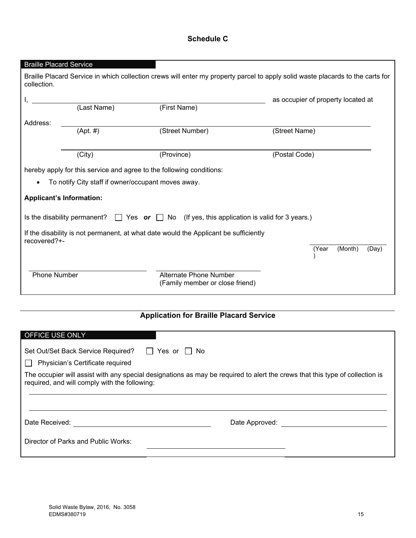## **Schedule C**

| <b>Braille Placard Service</b>                                                                        |             |                                                                                                                                |                                    |  |  |
|-------------------------------------------------------------------------------------------------------|-------------|--------------------------------------------------------------------------------------------------------------------------------|------------------------------------|--|--|
| collection.                                                                                           |             | Braille Placard Service in which collection crews will enter my property parcel to apply solid waste placards to the carts for |                                    |  |  |
|                                                                                                       |             |                                                                                                                                | as occupier of property located at |  |  |
|                                                                                                       | (Last Name) | (First Name)                                                                                                                   |                                    |  |  |
| Address:                                                                                              |             |                                                                                                                                |                                    |  |  |
|                                                                                                       | $(Apt. \#)$ | (Street Number)                                                                                                                | (Street Name)                      |  |  |
|                                                                                                       |             |                                                                                                                                |                                    |  |  |
|                                                                                                       | (City)      | (Province)                                                                                                                     | (Postal Code)                      |  |  |
|                                                                                                       |             | hereby apply for this service and agree to the following conditions:                                                           |                                    |  |  |
| To notify City staff if owner/occupant moves away.<br>$\bullet$                                       |             |                                                                                                                                |                                    |  |  |
| <b>Applicant's Information:</b>                                                                       |             |                                                                                                                                |                                    |  |  |
| Is the disability permanent? $\Box$ Yes or $\Box$ No (If yes, this application is valid for 3 years.) |             |                                                                                                                                |                                    |  |  |
| If the disability is not permanent, at what date would the Applicant be sufficiently<br>recovered?+-  |             |                                                                                                                                |                                    |  |  |
|                                                                                                       |             |                                                                                                                                | (Month)<br>(Year<br>(Day)          |  |  |
| <b>Phone Number</b>                                                                                   |             | <b>Alternate Phone Number</b><br>(Family member or close friend)                                                               |                                    |  |  |

# **Application for Braille Placard Service**

| OFFICE USE ONLY                                                                                                                                                               |                |  |  |  |  |  |  |
|-------------------------------------------------------------------------------------------------------------------------------------------------------------------------------|----------------|--|--|--|--|--|--|
|                                                                                                                                                                               |                |  |  |  |  |  |  |
| Set Out/Set Back Service Required? □ Yes or □ No                                                                                                                              |                |  |  |  |  |  |  |
| Physician's Certificate required                                                                                                                                              |                |  |  |  |  |  |  |
| The occupier will assist with any special designations as may be required to alert the crews that this type of collection is<br>required, and will comply with the following: |                |  |  |  |  |  |  |
| Date Received:                                                                                                                                                                | Date Approved: |  |  |  |  |  |  |
| Director of Parks and Public Works:                                                                                                                                           |                |  |  |  |  |  |  |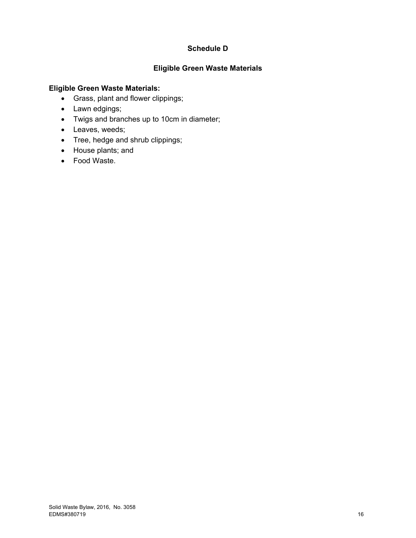## **Schedule D**

## **Eligible Green Waste Materials**

#### **Eligible Green Waste Materials:**

- Grass, plant and flower clippings;
- Lawn edgings;
- Twigs and branches up to 10cm in diameter;
- Leaves, weeds;
- Tree, hedge and shrub clippings;
- House plants; and
- Food Waste.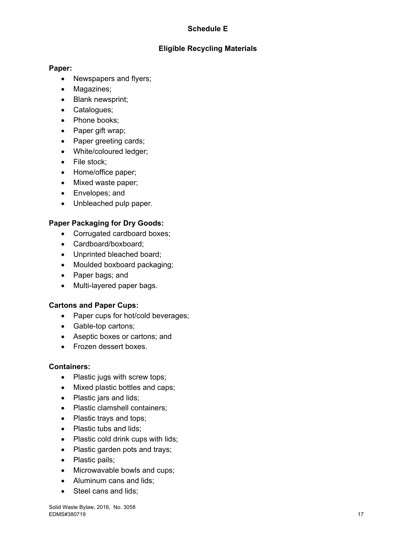## **Schedule E**

## **Eligible Recycling Materials**

#### **Paper:**

- Newspapers and flyers;
- Magazines;
- Blank newsprint;
- Catalogues;
- Phone books;
- Paper gift wrap;
- Paper greeting cards;
- White/coloured ledger;
- File stock:
- Home/office paper;
- Mixed waste paper;
- Envelopes; and
- Unbleached pulp paper.

#### **Paper Packaging for Dry Goods:**

- Corrugated cardboard boxes;
- Cardboard/boxboard:
- Unprinted bleached board;
- Moulded boxboard packaging;
- Paper bags; and
- Multi-layered paper bags.

#### **Cartons and Paper Cups:**

- Paper cups for hot/cold beverages;
- Gable-top cartons;
- Aseptic boxes or cartons; and
- Frozen dessert boxes.

#### **Containers:**

- Plastic jugs with screw tops;
- Mixed plastic bottles and caps;
- Plastic jars and lids;
- Plastic clamshell containers;
- Plastic trays and tops;
- Plastic tubs and lids:
- Plastic cold drink cups with lids;
- Plastic garden pots and trays;
- Plastic pails;
- Microwavable bowls and cups;
- Aluminum cans and lids;
- Steel cans and lids: